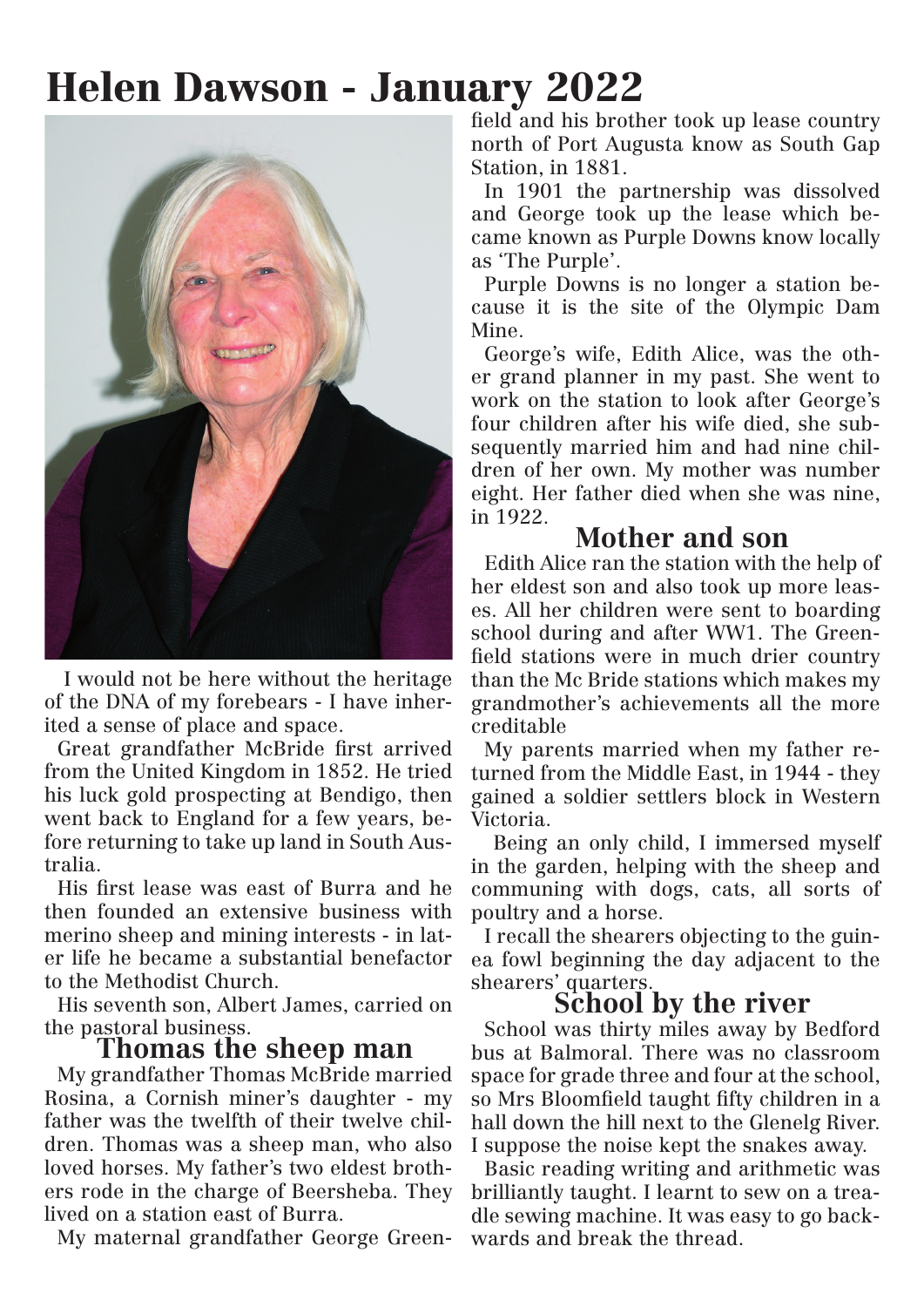# Helen Dawson - January 2022



 I would not be here without the heritage of the DNA of my forebears - I have inherited a sense of place and space.

Great grandfather McBride first arrived from the United Kingdom in 1852. He tried his luck gold prospecting at Bendigo, then went back to England for a few years, before returning to take up land in South Australia.

His first lease was east of Burra and he then founded an extensive business with merino sheep and mining interests - in later life he became a substantial benefactor to the Methodist Church.

His seventh son, Albert James, carried on the pastoral business.

#### **Thomas the sheep man**

My grandfather Thomas McBride married Rosina, a Cornish miner's daughter - my father was the twelfth of their twelve children. Thomas was a sheep man, who also loved horses. My father's two eldest brothers rode in the charge of Beersheba. They lived on a station east of Burra.

My maternal grandfather George Green-

field and his brother took up lease country north of Port Augusta know as South Gap Station, in 1881.

In 1901 the partnership was dissolved and George took up the lease which became known as Purple Downs know locally as 'The Purple'.

Purple Downs is no longer a station because it is the site of the Olympic Dam Mine.

George's wife, Edith Alice, was the other grand planner in my past. She went to work on the station to look after George's four children after his wife died, she subsequently married him and had nine children of her own. My mother was number eight. Her father died when she was nine, in 1922.

## **Mother and son**

Edith Alice ran the station with the help of her eldest son and also took up more leases. All her children were sent to boarding school during and after WW1. The Greenfield stations were in much drier country than the Mc Bride stations which makes my grandmother's achievements all the more creditable

My parents married when my father returned from the Middle East, in 1944 - they gained a soldier settlers block in Western Victoria.

 Being an only child, I immersed myself in the garden, helping with the sheep and communing with dogs, cats, all sorts of poultry and a horse.

I recall the shearers objecting to the guinea fowl beginning the day adjacent to the shearers' quarters.

#### **School by the river**

School was thirty miles away by Bedford bus at Balmoral. There was no classroom space for grade three and four at the school, so Mrs Bloomfield taught fifty children in a hall down the hill next to the Glenelg River. I suppose the noise kept the snakes away.

Basic reading writing and arithmetic was brilliantly taught. I learnt to sew on a treadle sewing machine. It was easy to go backwards and break the thread.